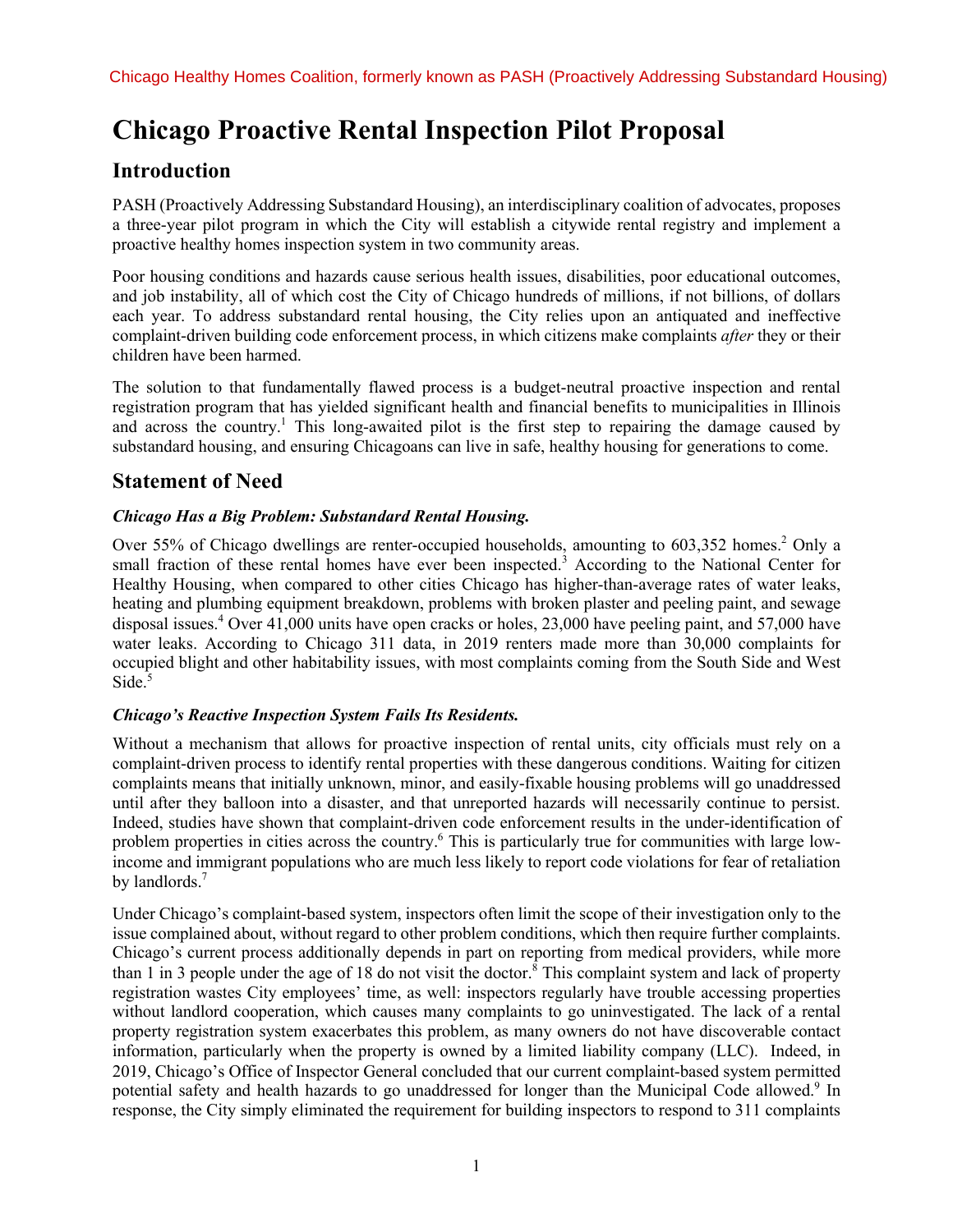# **Chicago Proactive Rental Inspection Pilot Proposal**

## **Introduction**

PASH (Proactively Addressing Substandard Housing), an interdisciplinary coalition of advocates, proposes a three-year pilot program in which the City will establish a citywide rental registry and implement a proactive healthy homes inspection system in two community areas.

Poor housing conditions and hazards cause serious health issues, disabilities, poor educational outcomes, and job instability, all of which cost the City of Chicago hundreds of millions, if not billions, of dollars each year. To address substandard rental housing, the City relies upon an antiquated and ineffective complaint-driven building code enforcement process, in which citizens make complaints *after* they or their children have been harmed.

The solution to that fundamentally flawed process is a budget-neutral proactive inspection and rental registration program that has yielded significant health and financial benefits to municipalities in Illinois and across the country.<sup>1</sup> This long-awaited pilot is the first step to repairing the damage caused by substandard housing, and ensuring Chicagoans can live in safe, healthy housing for generations to come.

## **Statement of Need**

## *Chicago Has a Big Problem: Substandard Rental Housing.*

Over 55% of Chicago dwellings are renter-occupied households, amounting to 603,352 homes.<sup>2</sup> Only a small fraction of these rental homes have ever been inspected.<sup>3</sup> According to the National Center for Healthy Housing, when compared to other cities Chicago has higher-than-average rates of water leaks, heating and plumbing equipment breakdown, problems with broken plaster and peeling paint, and sewage disposal issues.<sup>4</sup> Over 41,000 units have open cracks or holes, 23,000 have peeling paint, and 57,000 have water leaks. According to Chicago 311 data, in 2019 renters made more than 30,000 complaints for occupied blight and other habitability issues, with most complaints coming from the South Side and West Side.<sup>5</sup>

## *Chicago's Reactive Inspection System Fails Its Residents.*

Without a mechanism that allows for proactive inspection of rental units, city officials must rely on a complaint-driven process to identify rental properties with these dangerous conditions. Waiting for citizen complaints means that initially unknown, minor, and easily-fixable housing problems will go unaddressed until after they balloon into a disaster, and that unreported hazards will necessarily continue to persist. Indeed, studies have shown that complaint-driven code enforcement results in the under-identification of problem properties in cities across the country.6 This is particularly true for communities with large lowincome and immigrant populations who are much less likely to report code violations for fear of retaliation by landlords.<sup>7</sup>

Under Chicago's complaint-based system, inspectors often limit the scope of their investigation only to the issue complained about, without regard to other problem conditions, which then require further complaints. Chicago's current process additionally depends in part on reporting from medical providers, while more than 1 in 3 people under the age of 18 do not visit the doctor.<sup>8</sup> This complaint system and lack of property registration wastes City employees' time, as well: inspectors regularly have trouble accessing properties without landlord cooperation, which causes many complaints to go uninvestigated. The lack of a rental property registration system exacerbates this problem, as many owners do not have discoverable contact information, particularly when the property is owned by a limited liability company (LLC). Indeed, in 2019, Chicago's Office of Inspector General concluded that our current complaint-based system permitted potential safety and health hazards to go unaddressed for longer than the Municipal Code allowed.<sup>9</sup> In response, the City simply eliminated the requirement for building inspectors to respond to 311 complaints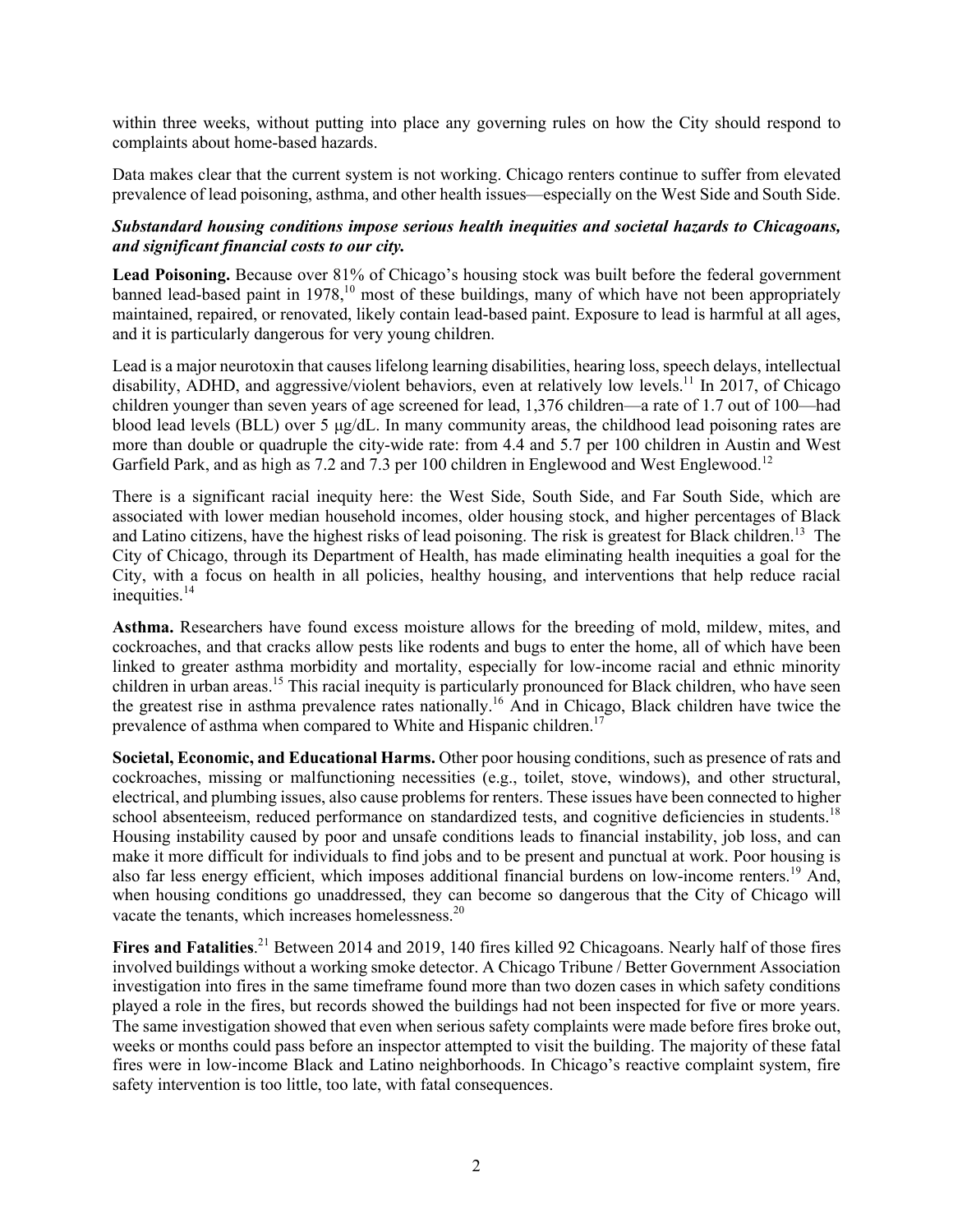within three weeks, without putting into place any governing rules on how the City should respond to complaints about home-based hazards.

Data makes clear that the current system is not working. Chicago renters continue to suffer from elevated prevalence of lead poisoning, asthma, and other health issues—especially on the West Side and South Side.

#### *Substandard housing conditions impose serious health inequities and societal hazards to Chicagoans, and significant financial costs to our city.*

**Lead Poisoning.** Because over 81% of Chicago's housing stock was built before the federal government banned lead-based paint in 1978,<sup>10</sup> most of these buildings, many of which have not been appropriately maintained, repaired, or renovated, likely contain lead-based paint. Exposure to lead is harmful at all ages, and it is particularly dangerous for very young children.

Lead is a major neurotoxin that causes lifelong learning disabilities, hearing loss, speech delays, intellectual disability, ADHD, and aggressive/violent behaviors, even at relatively low levels.<sup>11</sup> In 2017, of Chicago children younger than seven years of age screened for lead, 1,376 children—a rate of 1.7 out of 100—had blood lead levels (BLL) over 5  $\mu$ g/dL. In many community areas, the childhood lead poisoning rates are more than double or quadruple the city-wide rate: from 4.4 and 5.7 per 100 children in Austin and West Garfield Park, and as high as 7.2 and 7.3 per 100 children in Englewood and West Englewood.<sup>12</sup>

There is a significant racial inequity here: the West Side, South Side, and Far South Side, which are associated with lower median household incomes, older housing stock, and higher percentages of Black and Latino citizens, have the highest risks of lead poisoning. The risk is greatest for Black children.<sup>13</sup> The City of Chicago, through its Department of Health, has made eliminating health inequities a goal for the City, with a focus on health in all policies, healthy housing, and interventions that help reduce racial inequities.<sup>14</sup>

**Asthma.** Researchers have found excess moisture allows for the breeding of mold, mildew, mites, and cockroaches, and that cracks allow pests like rodents and bugs to enter the home, all of which have been linked to greater asthma morbidity and mortality, especially for low-income racial and ethnic minority children in urban areas.<sup>15</sup> This racial inequity is particularly pronounced for Black children, who have seen the greatest rise in asthma prevalence rates nationally.<sup>16</sup> And in Chicago, Black children have twice the prevalence of asthma when compared to White and Hispanic children.<sup>17</sup>

**Societal, Economic, and Educational Harms.** Other poor housing conditions, such as presence of rats and cockroaches, missing or malfunctioning necessities (e.g., toilet, stove, windows), and other structural, electrical, and plumbing issues, also cause problems for renters. These issues have been connected to higher school absenteeism, reduced performance on standardized tests, and cognitive deficiencies in students.<sup>18</sup> Housing instability caused by poor and unsafe conditions leads to financial instability, job loss, and can make it more difficult for individuals to find jobs and to be present and punctual at work. Poor housing is also far less energy efficient, which imposes additional financial burdens on low-income renters.<sup>19</sup> And, when housing conditions go unaddressed, they can become so dangerous that the City of Chicago will vacate the tenants, which increases homelessness.<sup>20</sup>

Fires and Fatalities.<sup>21</sup> Between 2014 and 2019, 140 fires killed 92 Chicagoans. Nearly half of those fires involved buildings without a working smoke detector. A Chicago Tribune / Better Government Association investigation into fires in the same timeframe found more than two dozen cases in which safety conditions played a role in the fires, but records showed the buildings had not been inspected for five or more years. The same investigation showed that even when serious safety complaints were made before fires broke out, weeks or months could pass before an inspector attempted to visit the building. The majority of these fatal fires were in low-income Black and Latino neighborhoods. In Chicago's reactive complaint system, fire safety intervention is too little, too late, with fatal consequences.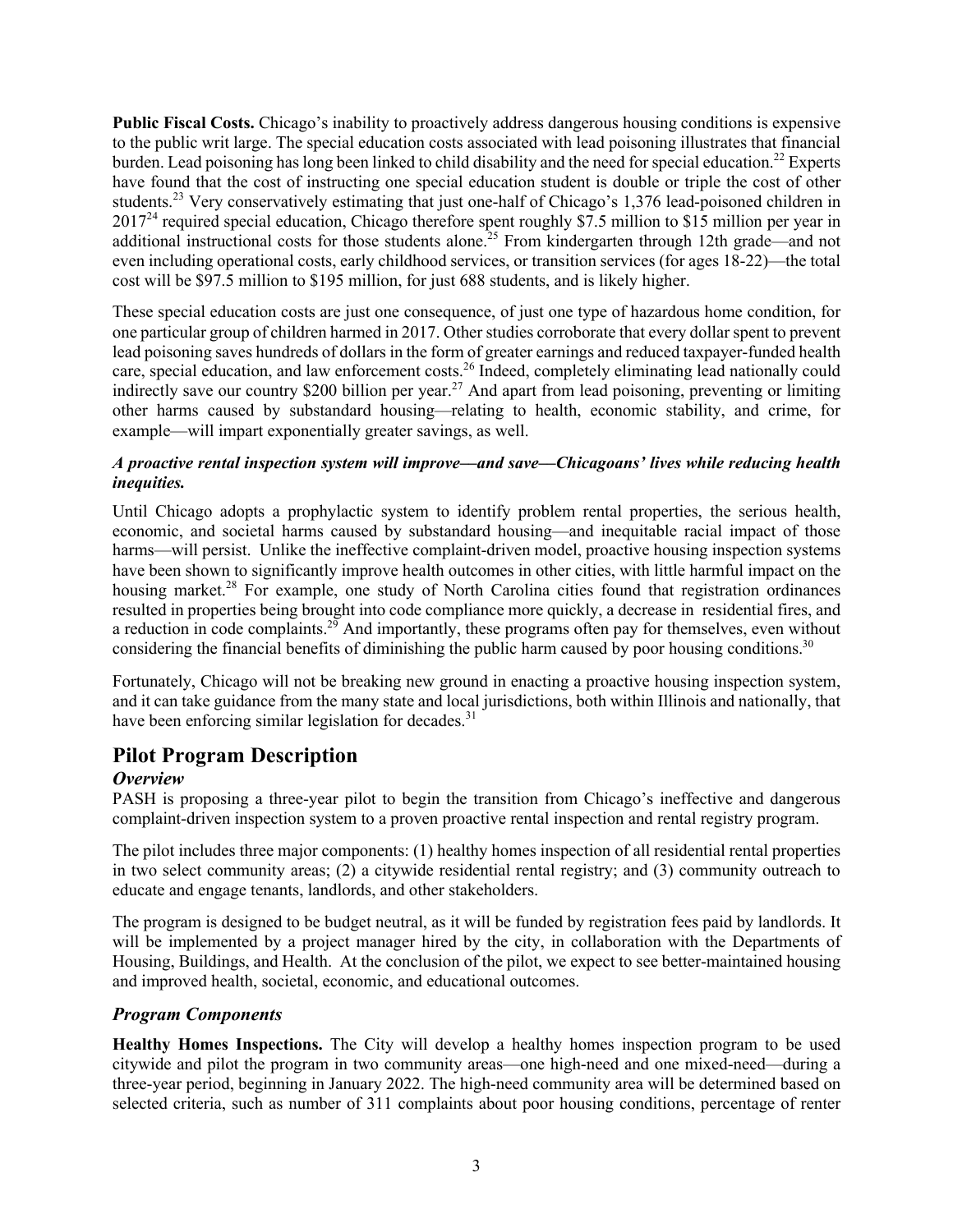**Public Fiscal Costs.** Chicago's inability to proactively address dangerous housing conditions is expensive to the public writ large. The special education costs associated with lead poisoning illustrates that financial burden. Lead poisoning has long been linked to child disability and the need for special education.<sup>22</sup> Experts have found that the cost of instructing one special education student is double or triple the cost of other students.<sup>23</sup> Very conservatively estimating that just one-half of Chicago's 1,376 lead-poisoned children in 2017<sup>24</sup> required special education, Chicago therefore spent roughly \$7.5 million to \$15 million per year in additional instructional costs for those students alone.<sup>25</sup> From kindergarten through 12th grade—and not even including operational costs, early childhood services, or transition services (for ages 18-22)—the total cost will be \$97.5 million to \$195 million, for just 688 students, and is likely higher.

These special education costs are just one consequence, of just one type of hazardous home condition, for one particular group of children harmed in 2017. Other studies corroborate that every dollar spent to prevent lead poisoning saves hundreds of dollars in the form of greater earnings and reduced taxpayer-funded health care, special education, and law enforcement costs.<sup>26</sup> Indeed, completely eliminating lead nationally could indirectly save our country \$200 billion per year.<sup>27</sup> And apart from lead poisoning, preventing or limiting other harms caused by substandard housing—relating to health, economic stability, and crime, for example—will impart exponentially greater savings, as well.

### *A proactive rental inspection system will improve––and save––Chicagoans' lives while reducing health inequities.*

Until Chicago adopts a prophylactic system to identify problem rental properties, the serious health, economic, and societal harms caused by substandard housing—and inequitable racial impact of those harms—will persist. Unlike the ineffective complaint-driven model, proactive housing inspection systems have been shown to significantly improve health outcomes in other cities, with little harmful impact on the housing market.<sup>28</sup> For example, one study of North Carolina cities found that registration ordinances resulted in properties being brought into code compliance more quickly, a decrease in residential fires, and a reduction in code complaints.<sup>29</sup> And importantly, these programs often pay for themselves, even without considering the financial benefits of diminishing the public harm caused by poor housing conditions.<sup>30</sup>

Fortunately, Chicago will not be breaking new ground in enacting a proactive housing inspection system, and it can take guidance from the many state and local jurisdictions, both within Illinois and nationally, that have been enforcing similar legislation for decades.<sup>31</sup>

## **Pilot Program Description**

## *Overview*

PASH is proposing a three-year pilot to begin the transition from Chicago's ineffective and dangerous complaint-driven inspection system to a proven proactive rental inspection and rental registry program.

The pilot includes three major components: (1) healthy homes inspection of all residential rental properties in two select community areas; (2) a citywide residential rental registry; and (3) community outreach to educate and engage tenants, landlords, and other stakeholders.

The program is designed to be budget neutral, as it will be funded by registration fees paid by landlords. It will be implemented by a project manager hired by the city, in collaboration with the Departments of Housing, Buildings, and Health. At the conclusion of the pilot, we expect to see better-maintained housing and improved health, societal, economic, and educational outcomes.

## *Program Components*

**Healthy Homes Inspections.** The City will develop a healthy homes inspection program to be used citywide and pilot the program in two community areas—one high-need and one mixed-need—during a three-year period, beginning in January 2022. The high-need community area will be determined based on selected criteria, such as number of 311 complaints about poor housing conditions, percentage of renter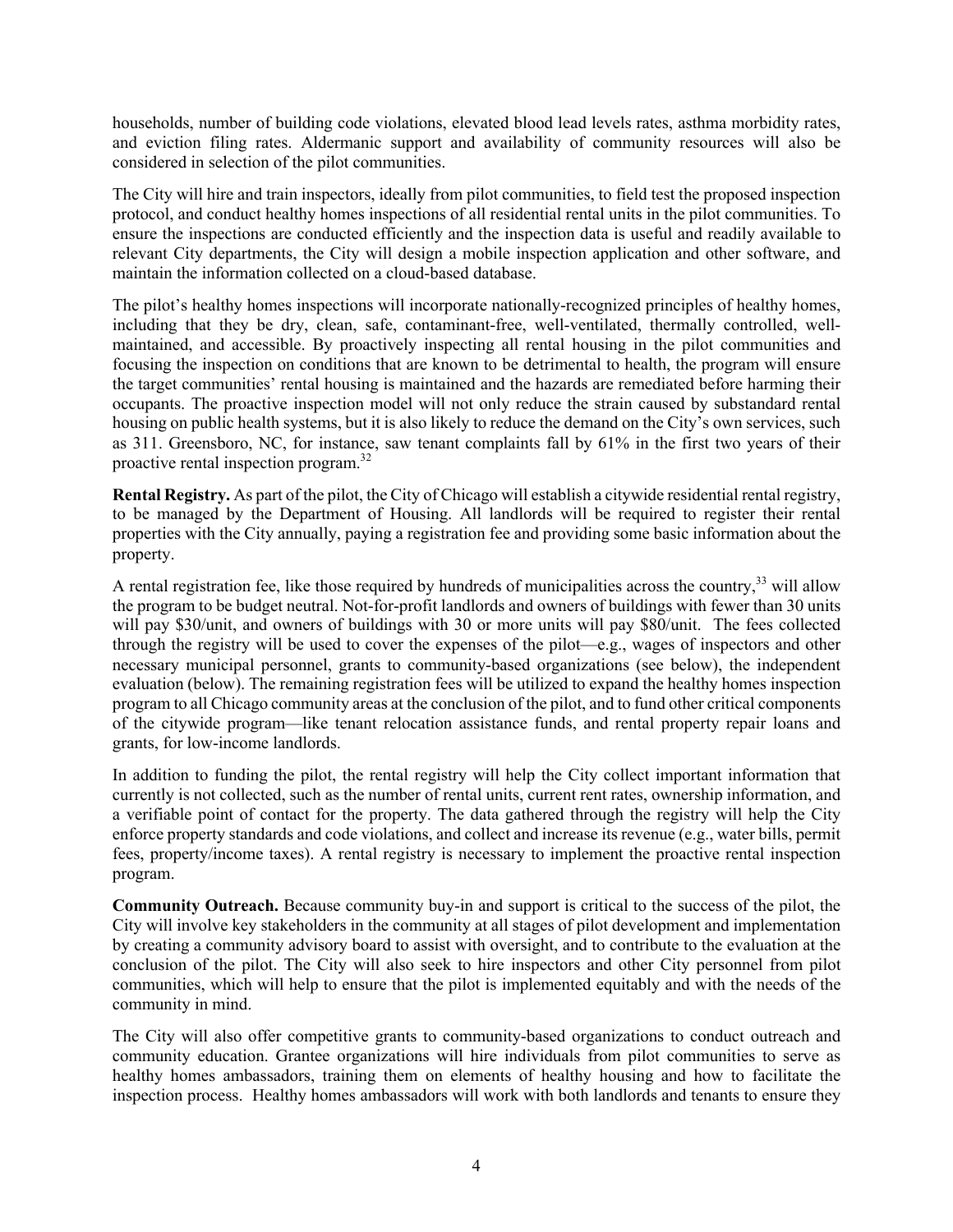households, number of building code violations, elevated blood lead levels rates, asthma morbidity rates, and eviction filing rates. Aldermanic support and availability of community resources will also be considered in selection of the pilot communities.

The City will hire and train inspectors, ideally from pilot communities, to field test the proposed inspection protocol, and conduct healthy homes inspections of all residential rental units in the pilot communities. To ensure the inspections are conducted efficiently and the inspection data is useful and readily available to relevant City departments, the City will design a mobile inspection application and other software, and maintain the information collected on a cloud-based database.

The pilot's healthy homes inspections will incorporate nationally-recognized principles of healthy homes, including that they be dry, clean, safe, contaminant-free, well-ventilated, thermally controlled, wellmaintained, and accessible. By proactively inspecting all rental housing in the pilot communities and focusing the inspection on conditions that are known to be detrimental to health, the program will ensure the target communities' rental housing is maintained and the hazards are remediated before harming their occupants. The proactive inspection model will not only reduce the strain caused by substandard rental housing on public health systems, but it is also likely to reduce the demand on the City's own services, such as 311. Greensboro, NC, for instance, saw tenant complaints fall by 61% in the first two years of their proactive rental inspection program.<sup>32</sup>

**Rental Registry.** As part of the pilot, the City of Chicago will establish a citywide residential rental registry, to be managed by the Department of Housing. All landlords will be required to register their rental properties with the City annually, paying a registration fee and providing some basic information about the property.

A rental registration fee, like those required by hundreds of municipalities across the country,<sup>33</sup> will allow the program to be budget neutral. Not-for-profit landlords and owners of buildings with fewer than 30 units will pay \$30/unit, and owners of buildings with 30 or more units will pay \$80/unit. The fees collected through the registry will be used to cover the expenses of the pilot—e.g., wages of inspectors and other necessary municipal personnel, grants to community-based organizations (see below), the independent evaluation (below). The remaining registration fees will be utilized to expand the healthy homes inspection program to all Chicago community areas at the conclusion of the pilot, and to fund other critical components of the citywide program—like tenant relocation assistance funds, and rental property repair loans and grants, for low-income landlords.

In addition to funding the pilot, the rental registry will help the City collect important information that currently is not collected, such as the number of rental units, current rent rates, ownership information, and a verifiable point of contact for the property. The data gathered through the registry will help the City enforce property standards and code violations, and collect and increase its revenue (e.g., water bills, permit fees, property/income taxes). A rental registry is necessary to implement the proactive rental inspection program.

**Community Outreach.** Because community buy-in and support is critical to the success of the pilot, the City will involve key stakeholders in the community at all stages of pilot development and implementation by creating a community advisory board to assist with oversight, and to contribute to the evaluation at the conclusion of the pilot. The City will also seek to hire inspectors and other City personnel from pilot communities, which will help to ensure that the pilot is implemented equitably and with the needs of the community in mind.

The City will also offer competitive grants to community-based organizations to conduct outreach and community education. Grantee organizations will hire individuals from pilot communities to serve as healthy homes ambassadors, training them on elements of healthy housing and how to facilitate the inspection process. Healthy homes ambassadors will work with both landlords and tenants to ensure they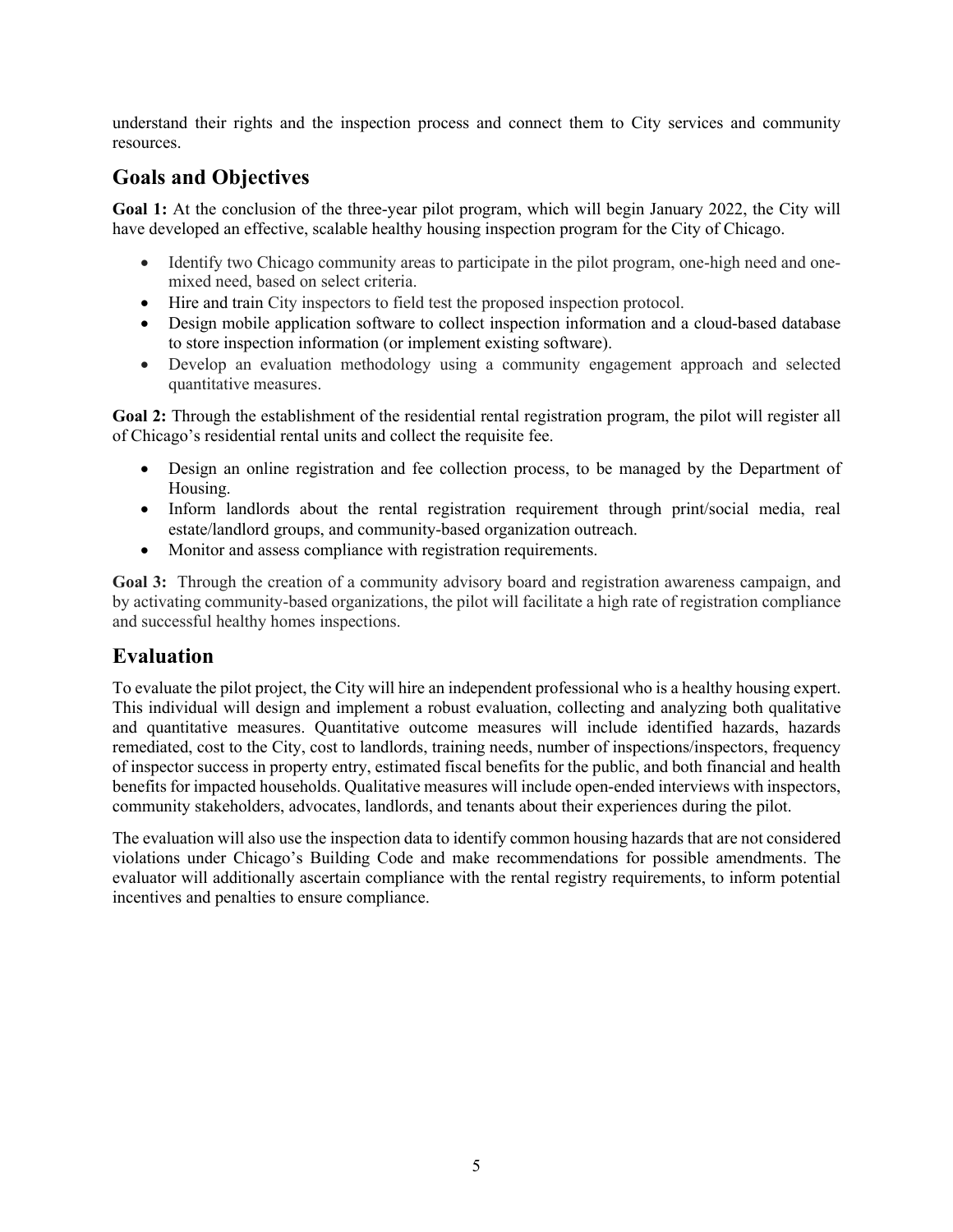understand their rights and the inspection process and connect them to City services and community resources.

## **Goals and Objectives**

**Goal 1:** At the conclusion of the three-year pilot program, which will begin January 2022, the City will have developed an effective, scalable healthy housing inspection program for the City of Chicago.

- Identify two Chicago community areas to participate in the pilot program, one-high need and onemixed need, based on select criteria.
- Hire and train City inspectors to field test the proposed inspection protocol.
- Design mobile application software to collect inspection information and a cloud-based database to store inspection information (or implement existing software).
- Develop an evaluation methodology using a community engagement approach and selected quantitative measures.

**Goal 2:** Through the establishment of the residential rental registration program, the pilot will register all of Chicago's residential rental units and collect the requisite fee.

- Design an online registration and fee collection process, to be managed by the Department of Housing.
- Inform landlords about the rental registration requirement through print/social media, real estate/landlord groups, and community-based organization outreach.
- Monitor and assess compliance with registration requirements.

**Goal 3:** Through the creation of a community advisory board and registration awareness campaign, and by activating community-based organizations, the pilot will facilitate a high rate of registration compliance and successful healthy homes inspections.

## **Evaluation**

To evaluate the pilot project, the City will hire an independent professional who is a healthy housing expert. This individual will design and implement a robust evaluation, collecting and analyzing both qualitative and quantitative measures. Quantitative outcome measures will include identified hazards, hazards remediated, cost to the City, cost to landlords, training needs, number of inspections/inspectors, frequency of inspector success in property entry, estimated fiscal benefits for the public, and both financial and health benefits for impacted households. Qualitative measures will include open-ended interviews with inspectors, community stakeholders, advocates, landlords, and tenants about their experiences during the pilot.

The evaluation will also use the inspection data to identify common housing hazards that are not considered violations under Chicago's Building Code and make recommendations for possible amendments. The evaluator will additionally ascertain compliance with the rental registry requirements, to inform potential incentives and penalties to ensure compliance.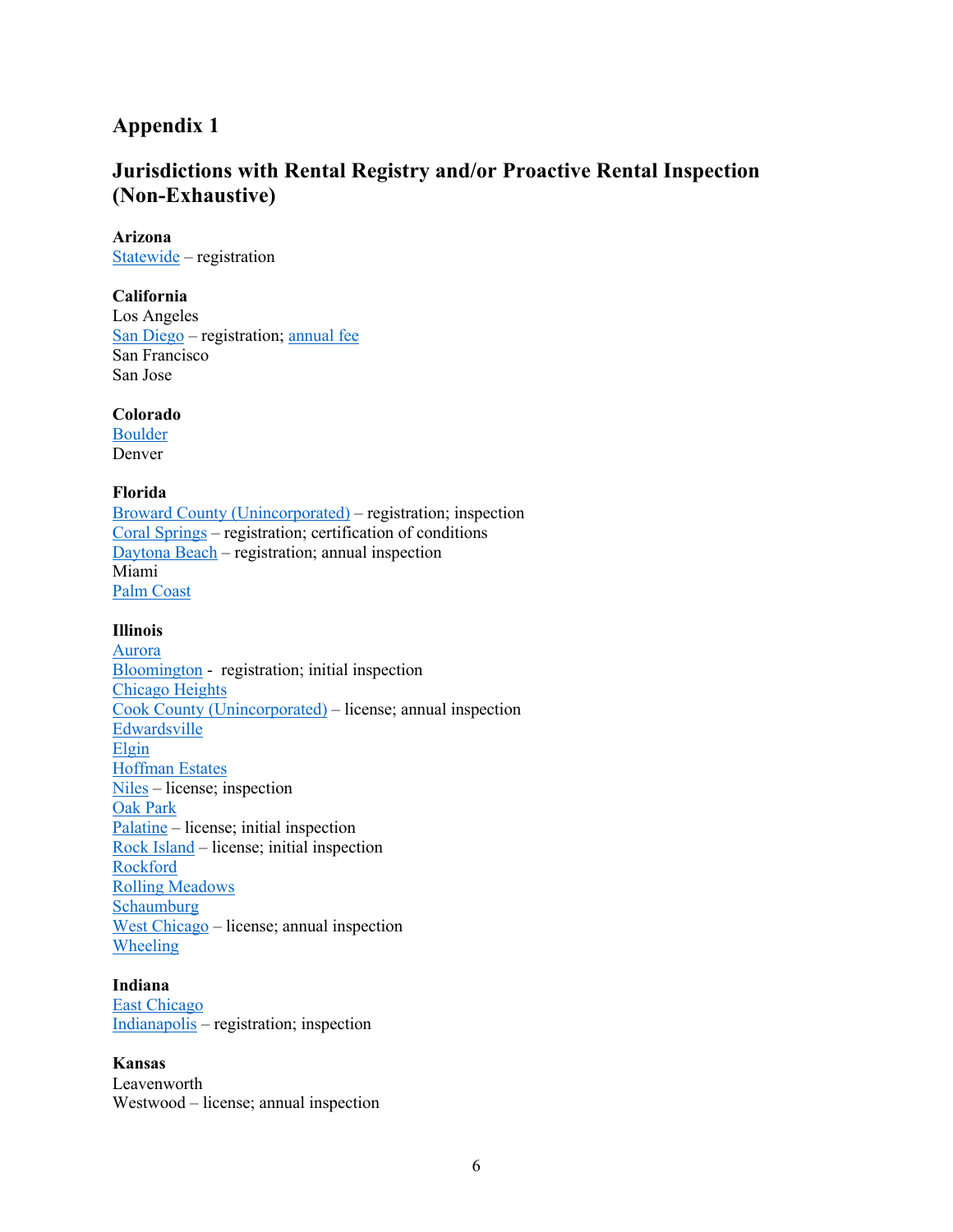## **Appendix 1**

## **Jurisdictions with Rental Registry and/or Proactive Rental Inspection (Non-Exhaustive)**

#### **Arizona**

Statewide – registration

#### **California**

Los Angeles San Diego – registration; annual fee San Francisco San Jose

#### **Colorado**

Boulder Denver

#### **Florida**

Broward County (Unincorporated) – registration; inspection Coral Springs – registration; certification of conditions Daytona Beach – registration; annual inspection Miami Palm Coast

#### **Illinois**

Aurora Bloomington - registration; initial inspection Chicago Heights Cook County (Unincorporated) – license; annual inspection Edwardsville Elgin Hoffman Estates Niles – license; inspection Oak Park Palatine – license; initial inspection Rock Island – license; initial inspection Rockford Rolling Meadows Schaumburg West Chicago – license; annual inspection Wheeling

## **Indiana**

East Chicago Indianapolis – registration; inspection

#### **Kansas**

Leavenworth Westwood – license; annual inspection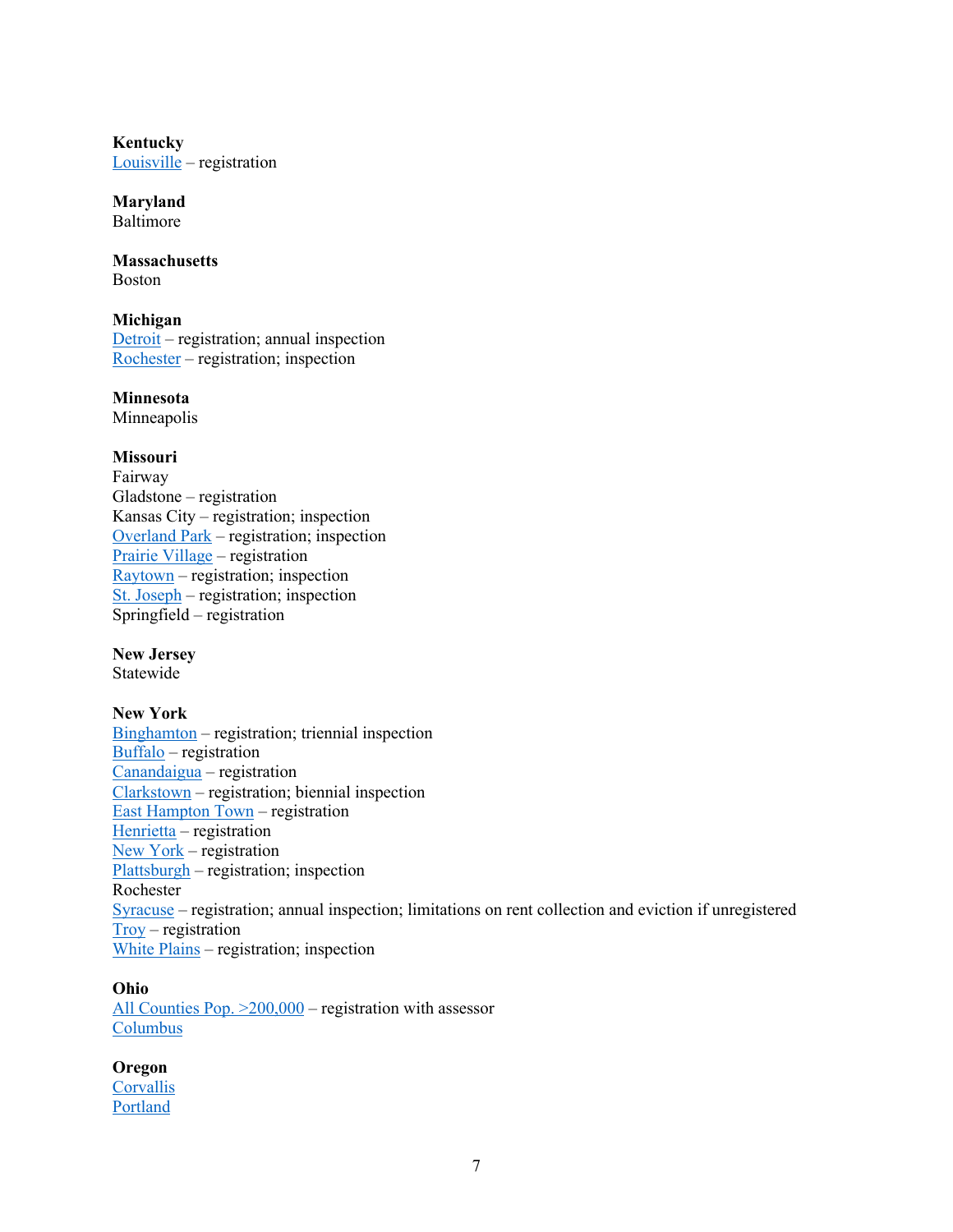**Kentucky** Louisville – registration

**Maryland** Baltimore

**Massachusetts**  Boston

**Michigan** Detroit – registration; annual inspection Rochester – registration; inspection

**Minnesota** Minneapolis

#### **Missouri**

Fairway Gladstone – registration Kansas City – registration; inspection Overland Park – registration; inspection Prairie Village – registration  $Raytown - registration; inspection$ St. Joseph – registration; inspection Springfield – registration

**New Jersey** Statewide

#### **New York**

Binghamton – registration; triennial inspection Buffalo – registration Canandaigua – registration Clarkstown – registration; biennial inspection East Hampton Town – registration Henrietta – registration New York – registration Plattsburgh – registration; inspection Rochester Syracuse – registration; annual inspection; limitations on rent collection and eviction if unregistered Troy – registration White Plains – registration; inspection

# **Ohio**

All Counties Pop.  $>200,000$  – registration with assessor Columbus

## **Oregon**

**Corvallis** Portland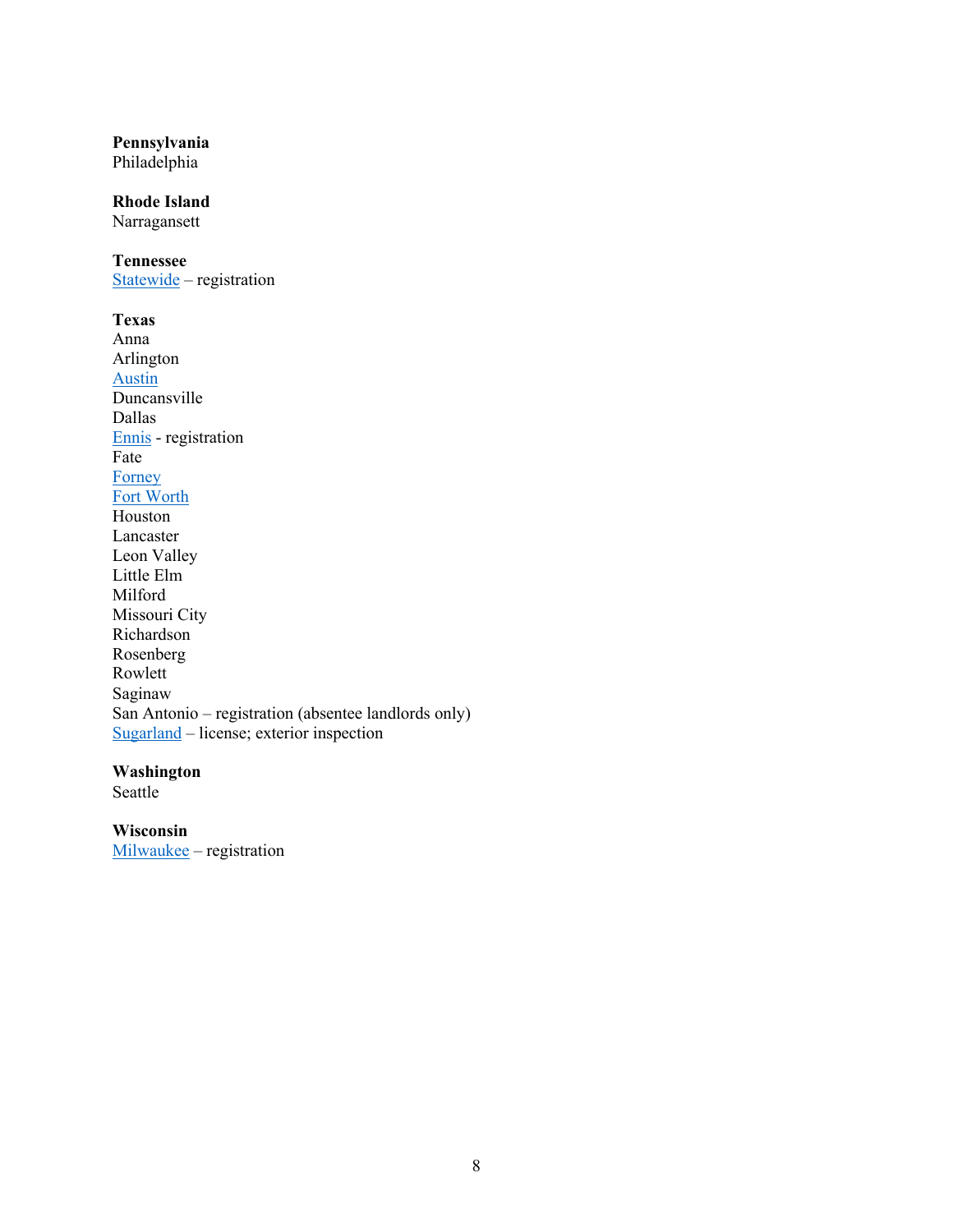#### **Pennsylvania**

Philadelphia

#### **Rhode Island**

Narragansett

#### **Tennessee**

Statewide – registration

**Texas** Anna Arlington Austin Duncansville Dallas Ennis - registration Fate Forney Fort Worth Houston Lancaster Leon Valley Little Elm Milford Missouri City Richardson Rosenberg Rowlett Saginaw San Antonio – registration (absentee landlords only) Sugarland – license; exterior inspection

#### **Washington**

Seattle

#### **Wisconsin**

Milwaukee – registration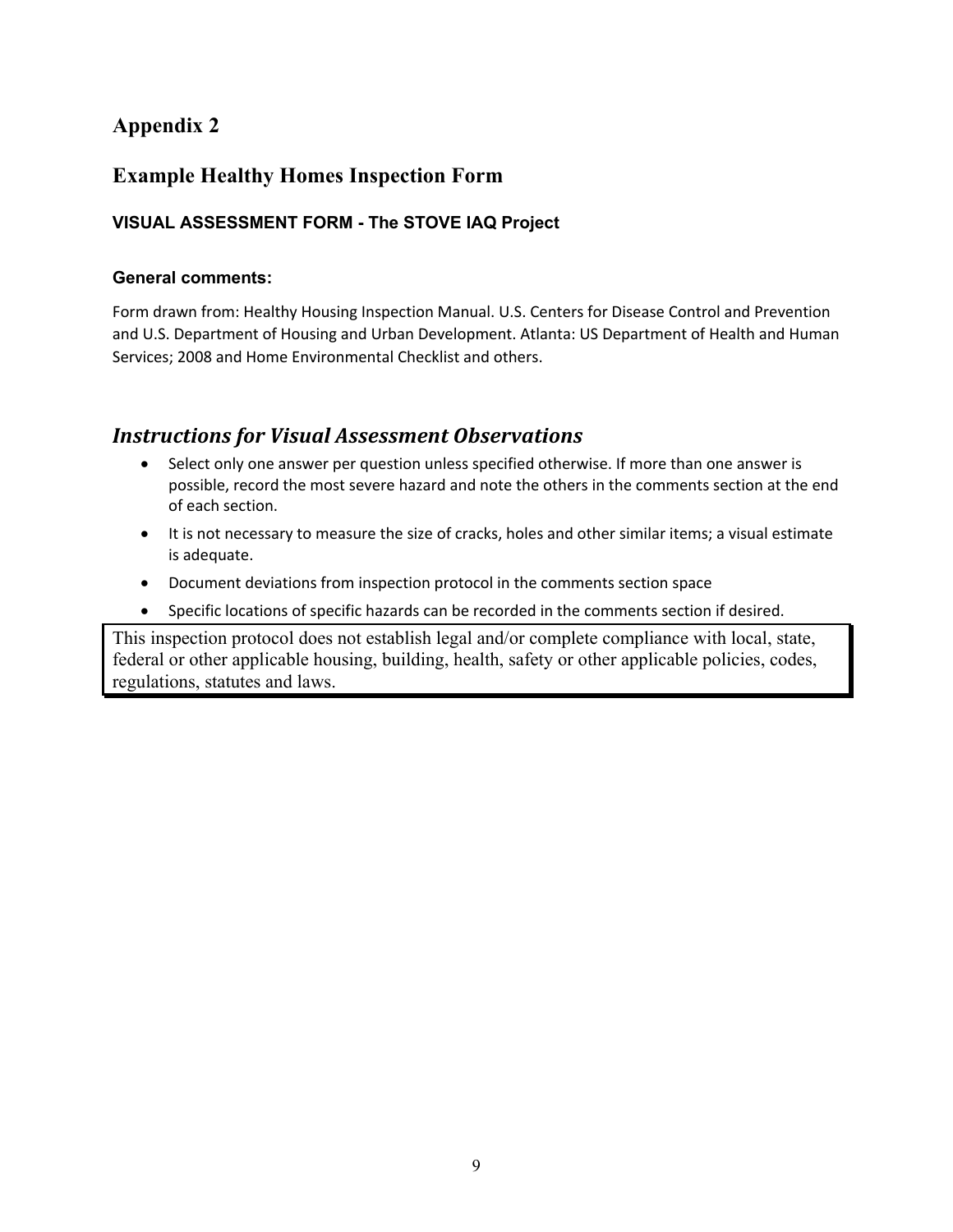## **Appendix 2**

## **Example Healthy Homes Inspection Form**

## **VISUAL ASSESSMENT FORM - The STOVE IAQ Project**

## **General comments:**

Form drawn from: Healthy Housing Inspection Manual. U.S. Centers for Disease Control and Prevention and U.S. Department of Housing and Urban Development. Atlanta: US Department of Health and Human Services; 2008 and Home Environmental Checklist and others.

## **Instructions for Visual Assessment Observations**

- Select only one answer per question unless specified otherwise. If more than one answer is possible, record the most severe hazard and note the others in the comments section at the end of each section.
- It is not necessary to measure the size of cracks, holes and other similar items; a visual estimate is adequate.
- Document deviations from inspection protocol in the comments section space
- Specific locations of specific hazards can be recorded in the comments section if desired.

This inspection protocol does not establish legal and/or complete compliance with local, state, federal or other applicable housing, building, health, safety or other applicable policies, codes, regulations, statutes and laws.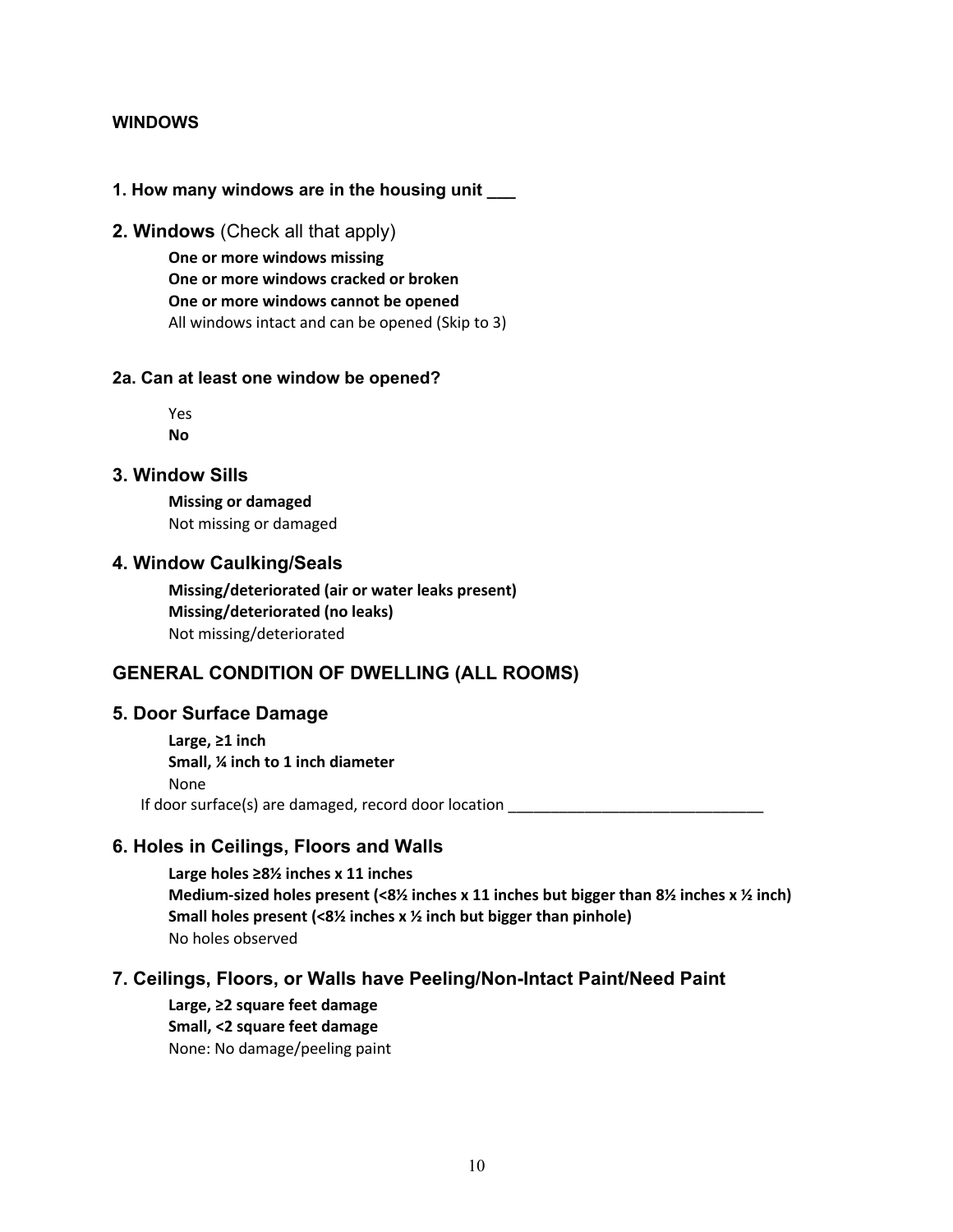### **WINDOWS**

#### **1. How many windows are in the housing unit \_\_\_**

**2. Windows** (Check all that apply)

 **One or more windows missing One or more windows cracked or broken One or more windows cannot be opened** All windows intact and can be opened (Skip to 3)

#### **2a. Can at least one window be opened?**

 Yes **No**

#### **3. Window Sills**

 **Missing or damaged** Not missing or damaged

#### **4. Window Caulking/Seals**

 **Missing/deteriorated (air or water leaks present) Missing/deteriorated (no leaks)** Not missing/deteriorated

## **GENERAL CONDITION OF DWELLING (ALL ROOMS)**

#### **5. Door Surface Damage**

 **Large, ≥1 inch Small, ¼ inch to 1 inch diameter** None If door surface(s) are damaged, record door location

## **6. Holes in Ceilings, Floors and Walls**

 **Large holes ≥8½ inches x 11 inches Medium-sized holes present (<8½ inches x 11 inches but bigger than 8½ inches x ½ inch) Small holes present (<8½ inches x ½ inch but bigger than pinhole)** No holes observed

#### **7. Ceilings, Floors, or Walls have Peeling/Non-Intact Paint/Need Paint**

 **Large, ≥2 square feet damage Small, <2 square feet damage** None: No damage/peeling paint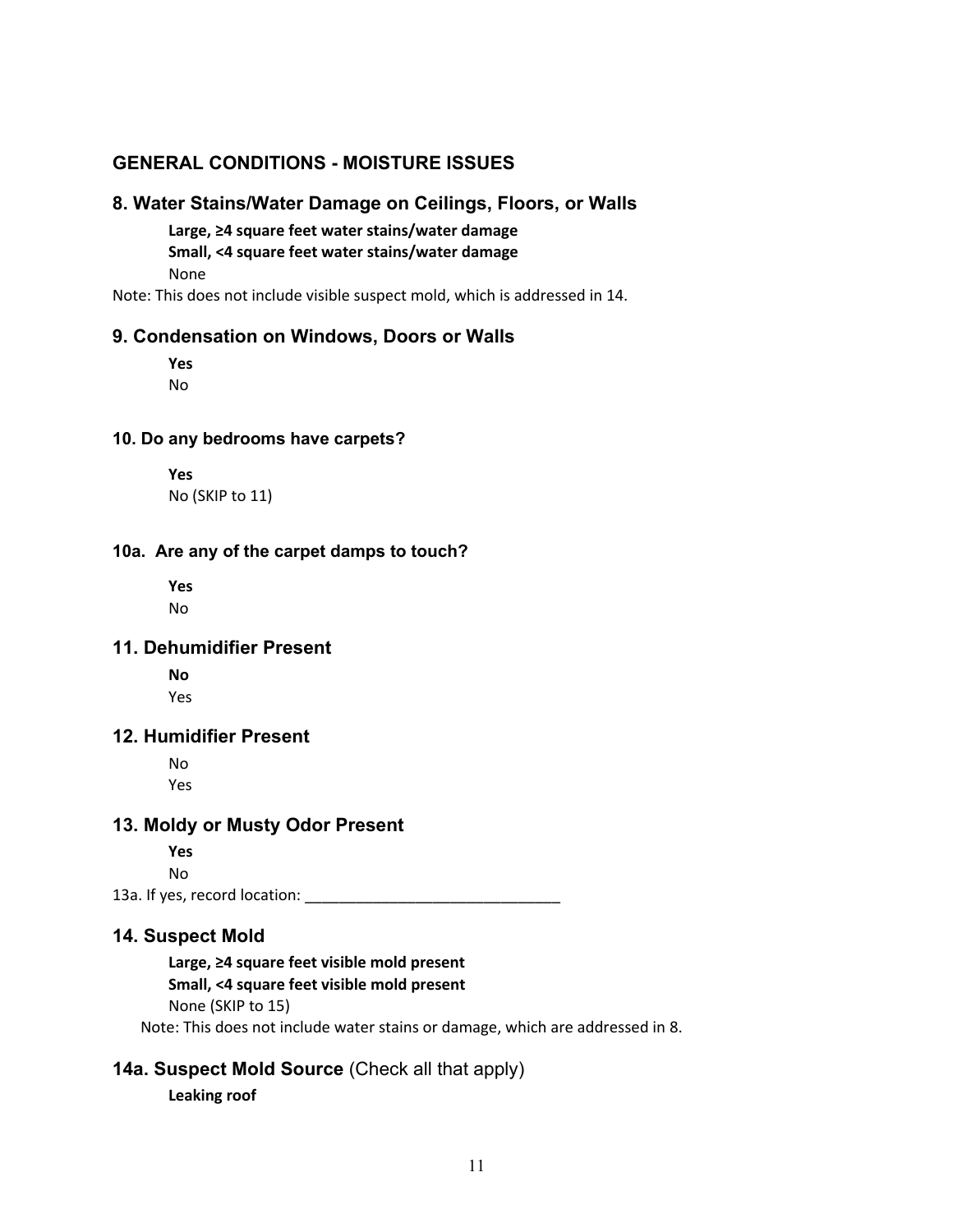## **GENERAL CONDITIONS - MOISTURE ISSUES**

#### **8. Water Stains/Water Damage on Ceilings, Floors, or Walls**

 **Large, ≥4 square feet water stains/water damage Small, <4 square feet water stains/water damage** None

Note: This does not include visible suspect mold, which is addressed in 14.

### **9. Condensation on Windows, Doors or Walls**

 **Yes** No

#### **10. Do any bedrooms have carpets?**

 **Yes** No (SKIP to 11)

#### **10a. Are any of the carpet damps to touch?**

 **Yes** No

#### **11. Dehumidifier Present**

 **No** Yes

## **12. Humidifier Present**

 No Yes

#### **13. Moldy or Musty Odor Present**

 **Yes** No

13a. If yes, record location: \_\_\_\_\_\_\_\_\_\_\_\_\_\_\_\_\_\_\_\_\_\_\_\_\_\_\_\_\_\_

#### **14. Suspect Mold**

 **Large, ≥4 square feet visible mold present Small, <4 square feet visible mold present** None (SKIP to 15)

Note: This does not include water stains or damage, which are addressed in 8.

## **14a. Suspect Mold Source** (Check all that apply)

**Leaking roof**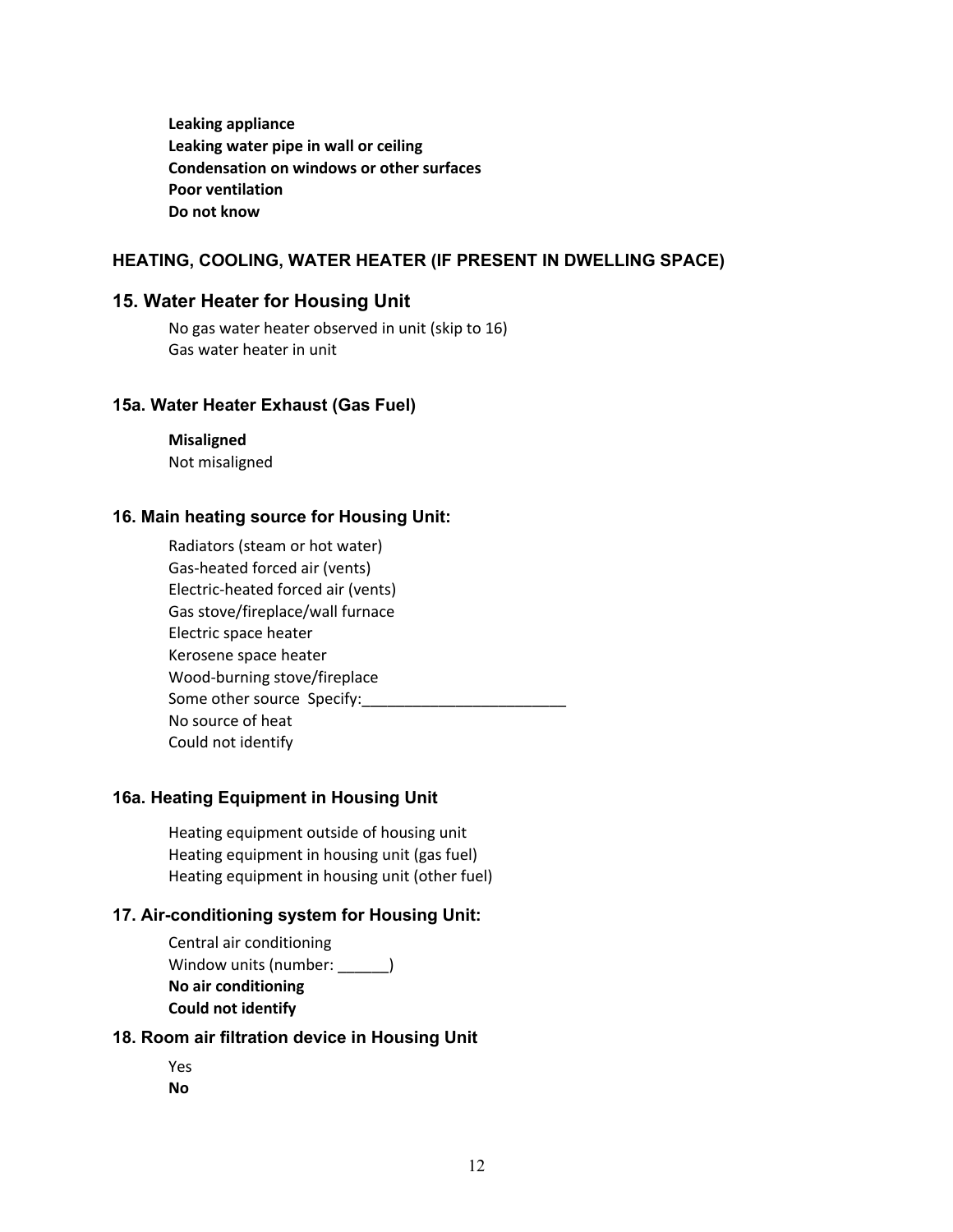**Leaking appliance Leaking water pipe in wall or ceiling Condensation on windows or other surfaces Poor ventilation Do not know**

### **HEATING, COOLING, WATER HEATER (IF PRESENT IN DWELLING SPACE)**

#### **15. Water Heater for Housing Unit**

 No gas water heater observed in unit (skip to 16) Gas water heater in unit

#### **15a. Water Heater Exhaust (Gas Fuel)**

 **Misaligned** Not misaligned

#### **16. Main heating source for Housing Unit:**

 Radiators (steam or hot water) Gas-heated forced air (vents) Electric-heated forced air (vents) Gas stove/fireplace/wall furnace Electric space heater Kerosene space heater Wood-burning stove/fireplace Some other source Specify: No source of heat Could not identify

#### **16a. Heating Equipment in Housing Unit**

 Heating equipment outside of housing unit Heating equipment in housing unit (gas fuel) Heating equipment in housing unit (other fuel)

#### **17. Air-conditioning system for Housing Unit:**

 Central air conditioning Window units (number: ) **No air conditioning Could not identify**

#### **18. Room air filtration device in Housing Unit**

 Yes **No**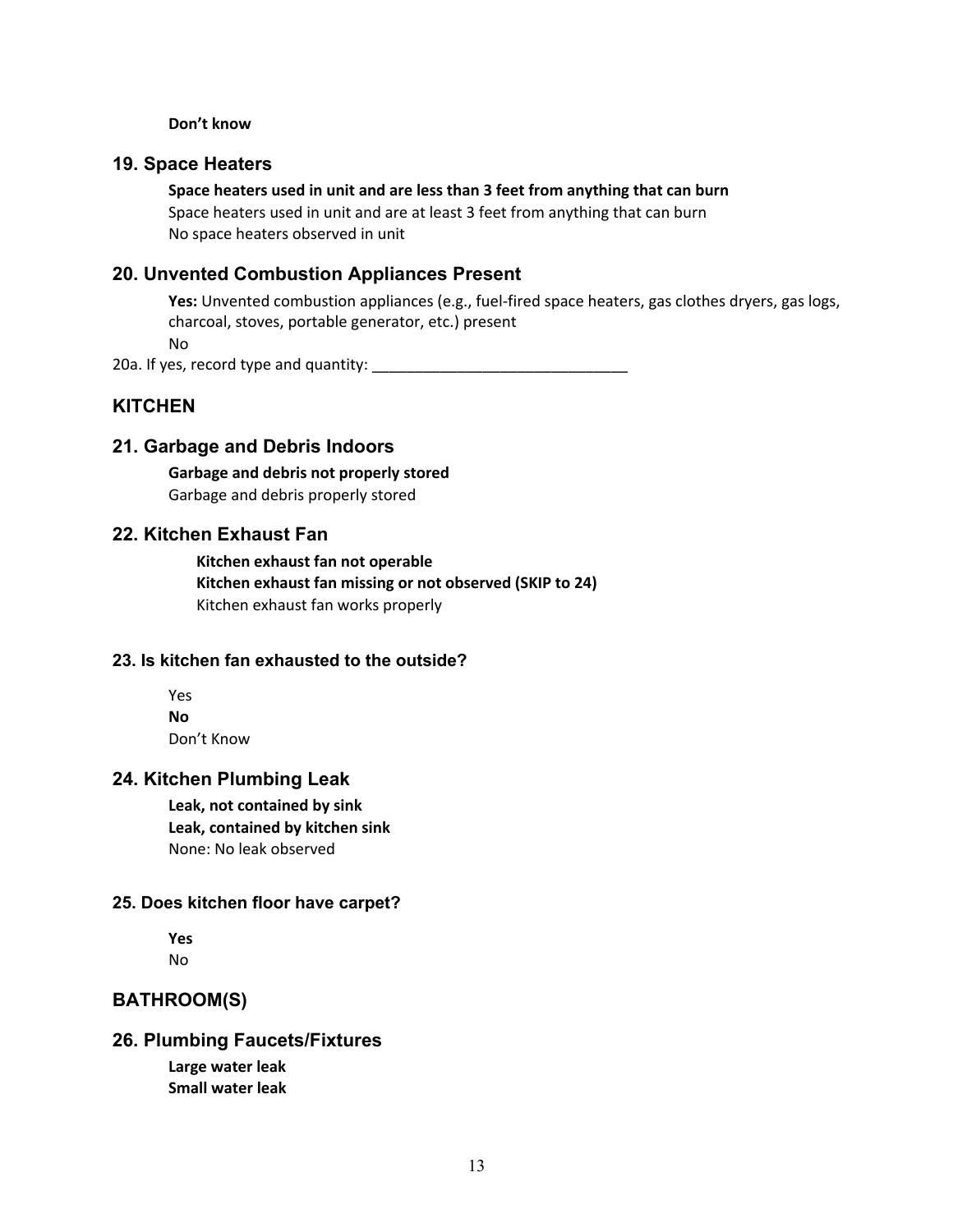#### **Don't know**

#### **19. Space Heaters**

**Space heaters used in unit and are less than 3 feet from anything that can burn**

 Space heaters used in unit and are at least 3 feet from anything that can burn No space heaters observed in unit

## **20. Unvented Combustion Appliances Present**

 **Yes:** Unvented combustion appliances (e.g., fuel-fired space heaters, gas clothes dryers, gas logs, charcoal, stoves, portable generator, etc.) present

No

20a. If yes, record type and quantity: \_\_\_\_\_\_\_\_\_\_\_\_\_\_\_\_\_\_\_\_\_\_\_\_\_\_\_\_\_\_

## **KITCHEN**

## **21. Garbage and Debris Indoors**

 **Garbage and debris not properly stored** Garbage and debris properly stored

## **22. Kitchen Exhaust Fan**

 **Kitchen exhaust fan not operable Kitchen exhaust fan missing or not observed (SKIP to 24)** Kitchen exhaust fan works properly

#### **23. Is kitchen fan exhausted to the outside?**

 Yes **No** Don't Know

## **24. Kitchen Plumbing Leak**

 **Leak, not contained by sink Leak, contained by kitchen sink** None: No leak observed

## **25. Does kitchen floor have carpet?**

 **Yes** No

## **BATHROOM(S)**

## **26. Plumbing Faucets/Fixtures**

 **Large water leak Small water leak**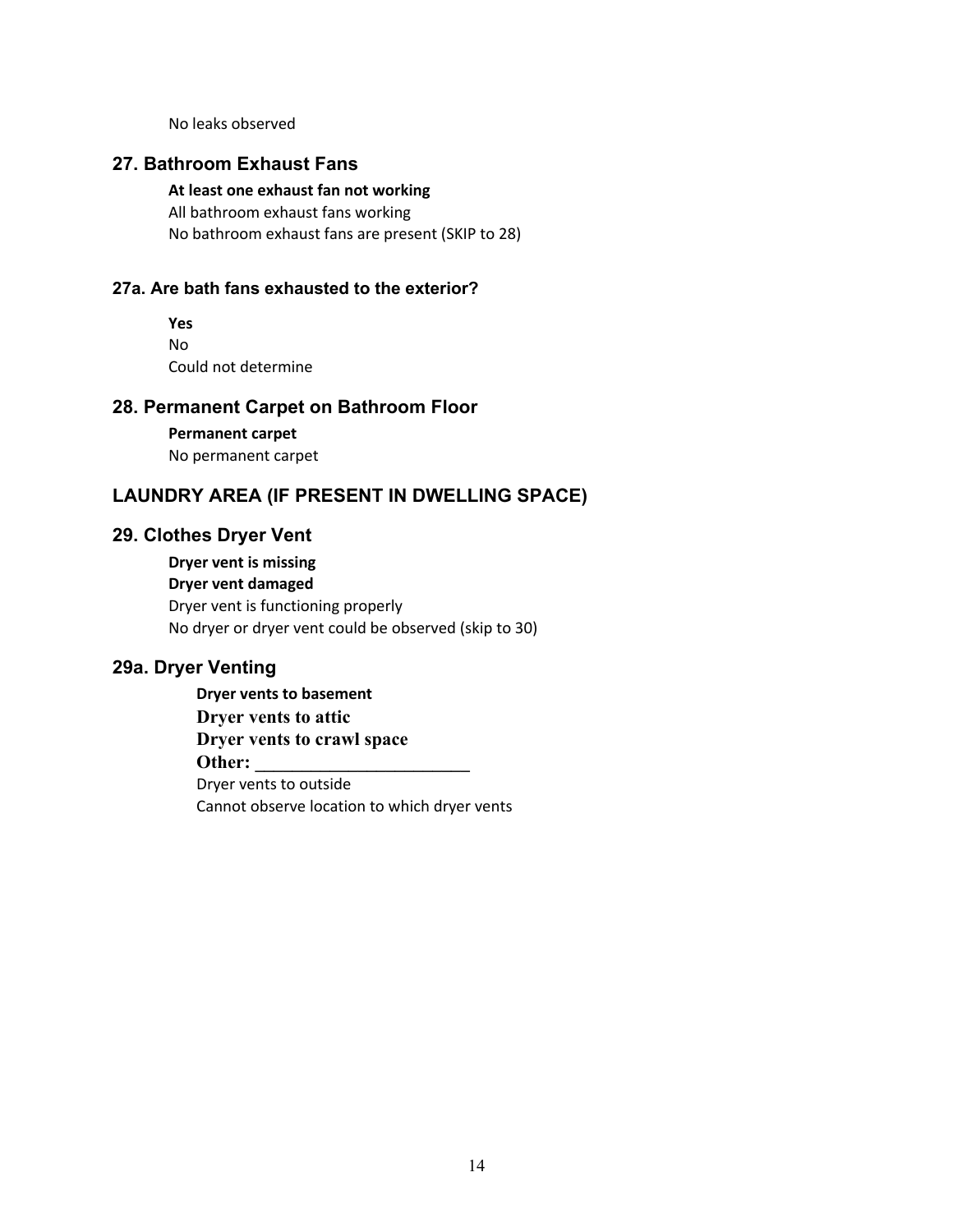No leaks observed

## **27. Bathroom Exhaust Fans**

 **At least one exhaust fan not working** All bathroom exhaust fans working No bathroom exhaust fans are present (SKIP to 28)

#### **27a. Are bath fans exhausted to the exterior?**

 **Yes** No Could not determine

### **28. Permanent Carpet on Bathroom Floor**

 **Permanent carpet** No permanent carpet

## **LAUNDRY AREA (IF PRESENT IN DWELLING SPACE)**

#### **29. Clothes Dryer Vent**

 **Dryer vent is missing Dryer vent damaged** Dryer vent is functioning properly No dryer or dryer vent could be observed (skip to 30)

## **29a. Dryer Venting**

 **Dryer vents to basement Dryer vents to attic Dryer vents to crawl space Other:**  Dryer vents to outside Cannot observe location to which dryer vents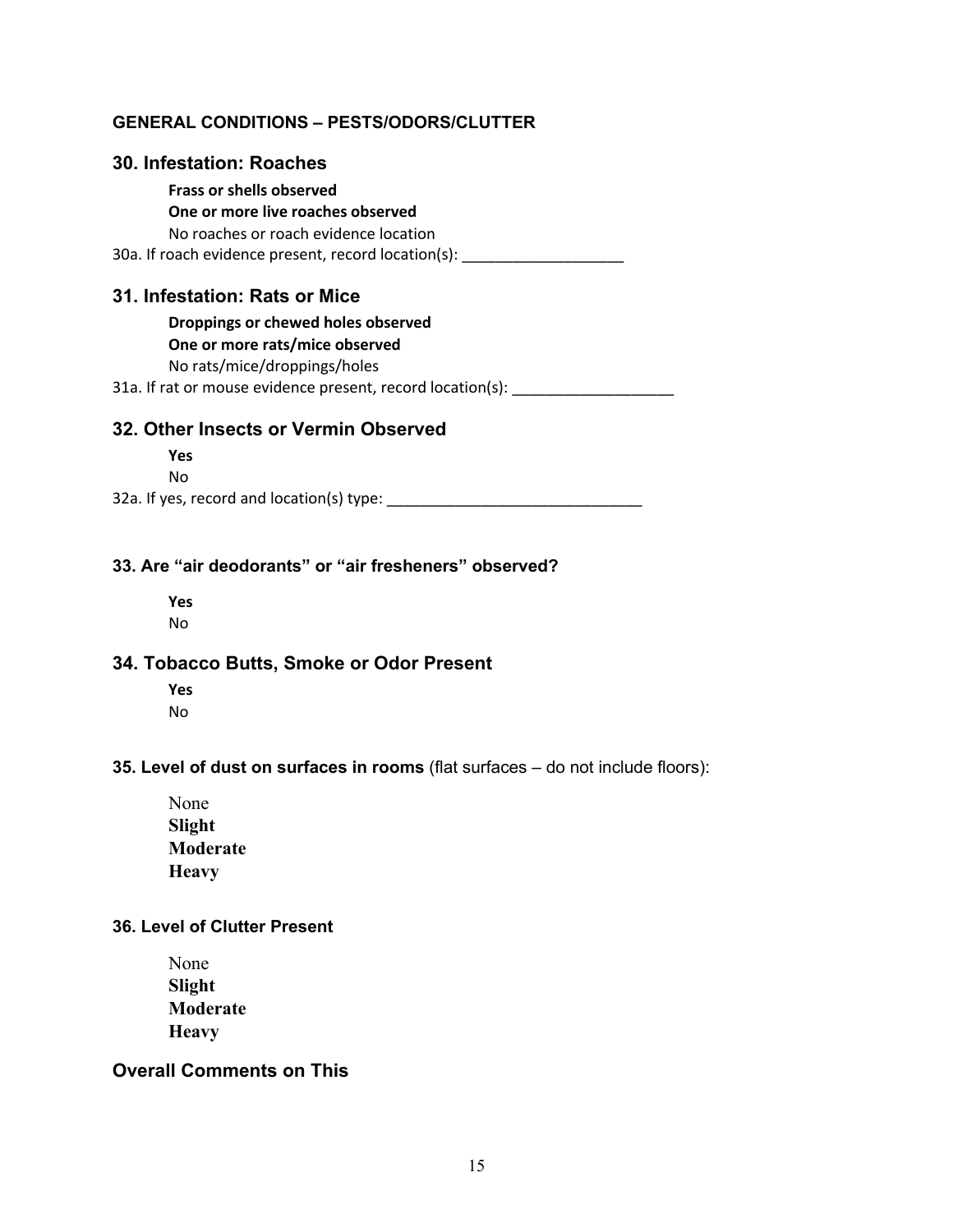## **GENERAL CONDITIONS – PESTS/ODORS/CLUTTER**

### **30. Infestation: Roaches**

## **Frass or shells observed**

 **One or more live roaches observed** No roaches or roach evidence location 30a. If roach evidence present, record location(s): \_\_\_\_\_\_\_\_\_\_\_\_\_\_\_\_\_\_\_\_\_\_\_\_\_\_\_\_

## **31. Infestation: Rats or Mice**

**Droppings or chewed holes observed**

#### **One or more rats/mice observed**

No rats/mice/droppings/holes

31a. If rat or mouse evidence present, record location(s):

## **32. Other Insects or Vermin Observed**

 **Yes** No

32a. If yes, record and location(s) type: \_\_\_\_\_\_\_\_\_\_\_\_\_\_\_\_\_\_\_\_\_\_\_\_\_\_\_\_\_\_

## **33. Are "air deodorants" or "air fresheners" observed?**

 **Yes** No

## **34. Tobacco Butts, Smoke or Odor Present**

 **Yes** No

#### **35. Level of dust on surfaces in rooms** (flat surfaces – do not include floors):

 None **Slight Moderate Heavy**

### **36. Level of Clutter Present**

 None **Slight Moderate Heavy**

## **Overall Comments on This**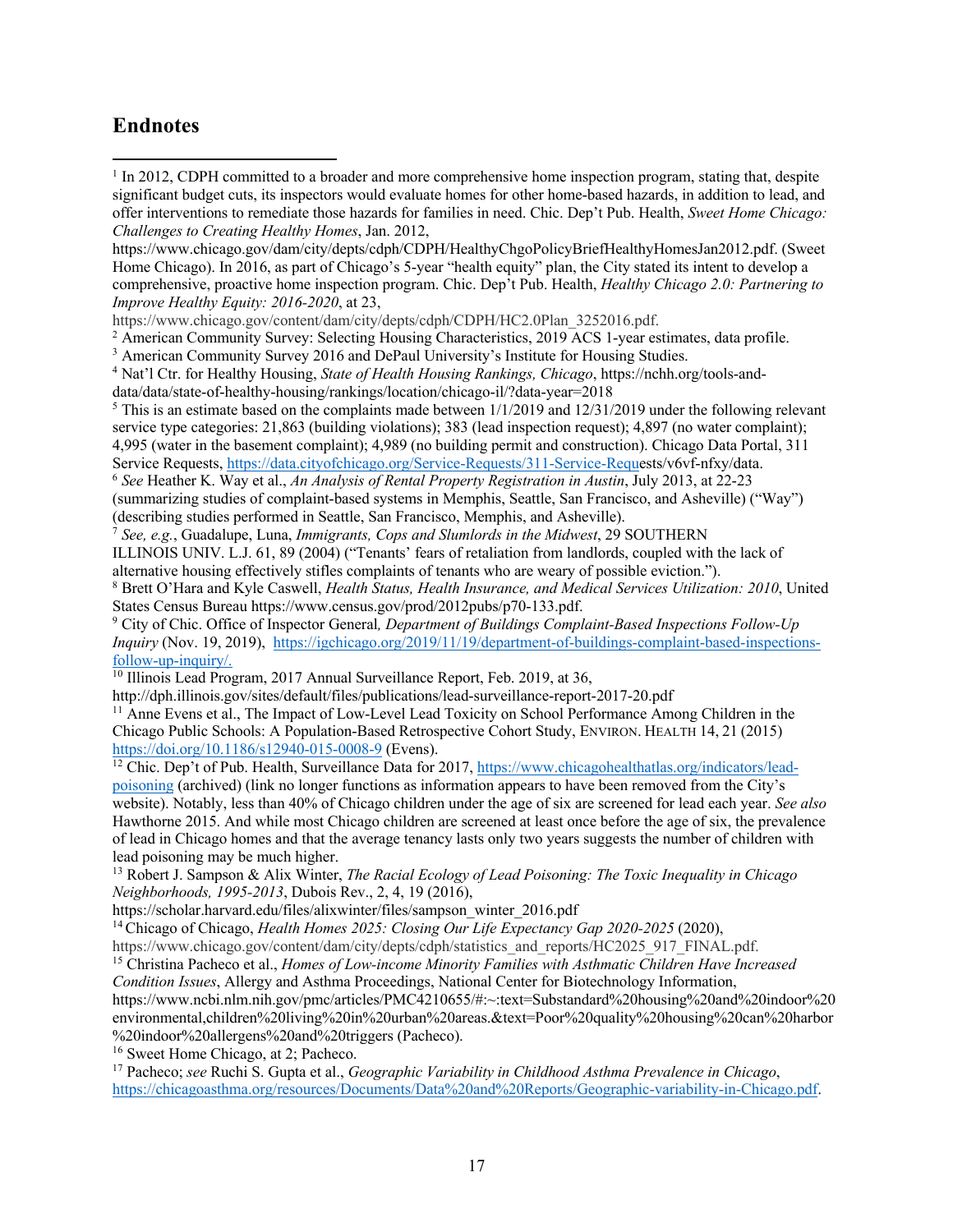## **Endnotes**

<sup>1</sup> In 2012, CDPH committed to a broader and more comprehensive home inspection program, stating that, despite significant budget cuts, its inspectors would evaluate homes for other home-based hazards, in addition to lead, and offer interventions to remediate those hazards for families in need. Chic. Dep't Pub. Health, *Sweet Home Chicago: Challenges to Creating Healthy Homes*, Jan. 2012,

https://www.chicago.gov/dam/city/depts/cdph/CDPH/HealthyChgoPolicyBriefHealthyHomesJan2012.pdf. (Sweet Home Chicago). In 2016, as part of Chicago's 5-year "health equity" plan, the City stated its intent to develop a comprehensive, proactive home inspection program. Chic. Dep't Pub. Health, *Healthy Chicago 2.0: Partnering to Improve Healthy Equity: 2016-2020*, at 23,

https://www.chicago.gov/content/dam/city/depts/cdph/CDPH/HC2.0Plan\_3252016.pdf.

<sup>2</sup> American Community Survey: Selecting Housing Characteristics, 2019 ACS 1-year estimates, data profile.

<sup>3</sup> American Community Survey 2016 and DePaul University's Institute for Housing Studies.

<sup>4</sup> Nat'l Ctr. for Healthy Housing, *State of Health Housing Rankings, Chicago*, https://nchh.org/tools-anddata/data/state-of-healthy-housing/rankings/location/chicago-il/?data-year=2018

<sup>5</sup> This is an estimate based on the complaints made between  $1/1/2019$  and  $1/2/31/2019$  under the following relevant service type categories: 21,863 (building violations); 383 (lead inspection request); 4,897 (no water complaint); 4,995 (water in the basement complaint); 4,989 (no building permit and construction). Chicago Data Portal, 311

Service Requests, https://data.cityofchicago.org/Service-Requests/311-Service-Requests/v6vf-nfxy/data.

<sup>6</sup> *See* Heather K. Way et al., *An Analysis of Rental Property Registration in Austin*, July 2013, at 22-23 (summarizing studies of complaint-based systems in Memphis, Seattle, San Francisco, and Asheville) ("Way") (describing studies performed in Seattle, San Francisco, Memphis, and Asheville).

<sup>7</sup> *See, e.g.*, Guadalupe, Luna, *Immigrants, Cops and Slumlords in the Midwest*, 29 SOUTHERN

ILLINOIS UNIV. L.J. 61, 89 (2004) ("Tenants' fears of retaliation from landlords, coupled with the lack of alternative housing effectively stifles complaints of tenants who are weary of possible eviction.").

<sup>8</sup> Brett O'Hara and Kyle Caswell, *Health Status, Health Insurance, and Medical Services Utilization: 2010*, United States Census Bureau https://www.census.gov/prod/2012pubs/p70-133.pdf.

<sup>9</sup> City of Chic. Office of Inspector General*, Department of Buildings Complaint-Based Inspections Follow-Up Inquiry* (Nov. 19, 2019), https://igchicago.org/2019/11/19/department-of-buildings-complaint-based-inspectionsfollow-up-inquiry/.

<sup>10</sup> Illinois Lead Program, 2017 Annual Surveillance Report, Feb. 2019, at 36,

http://dph.illinois.gov/sites/default/files/publications/lead-surveillance-report-2017-20.pdf

<sup>11</sup> Anne Evens et al., The Impact of Low-Level Lead Toxicity on School Performance Among Children in the Chicago Public Schools: A Population-Based Retrospective Cohort Study, ENVIRON. HEALTH 14, 21 (2015) https://doi.org/10.1186/s12940-015-0008-9 (Evens).

<sup>12</sup> Chic. Dep't of Pub. Health, Surveillance Data for 2017, https://www.chicagohealthatlas.org/indicators/leadpoisoning (archived) (link no longer functions as information appears to have been removed from the City's website). Notably, less than 40% of Chicago children under the age of six are screened for lead each year. *See also*  Hawthorne 2015. And while most Chicago children are screened at least once before the age of six, the prevalence of lead in Chicago homes and that the average tenancy lasts only two years suggests the number of children with lead poisoning may be much higher.

<sup>13</sup> Robert J. Sampson & Alix Winter, *The Racial Ecology of Lead Poisoning: The Toxic Inequality in Chicago Neighborhoods, 1995-2013*, Dubois Rev., 2, 4, 19 (2016),

https://scholar.harvard.edu/files/alixwinter/files/sampson\_winter\_2016.pdf

<sup>14</sup> Chicago of Chicago, *Health Homes 2025: Closing Our Life Expectancy Gap 2020-2025* (2020),

https://www.chicago.gov/content/dam/city/depts/cdph/statistics\_and\_reports/HC2025\_917\_FINAL.pdf.

<sup>15</sup> Christina Pacheco et al., *Homes of Low-income Minority Families with Asthmatic Children Have Increased* 

*Condition Issues*, Allergy and Asthma Proceedings, National Center for Biotechnology Information, https://www.ncbi.nlm.nih.gov/pmc/articles/PMC4210655/#:~:text=Substandard%20housing%20and%20indoor%20 environmental,children%20living%20in%20urban%20areas.&text=Poor%20quality%20housing%20can%20harbor %20indoor%20allergens%20and%20triggers (Pacheco).

<sup>16</sup> Sweet Home Chicago, at 2; Pacheco.

<sup>17</sup> Pacheco; *see* Ruchi S. Gupta et al., *Geographic Variability in Childhood Asthma Prevalence in Chicago*, https://chicagoasthma.org/resources/Documents/Data%20and%20Reports/Geographic-variability-in-Chicago.pdf.